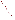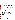# **AGENCY:** ENVIRONMENTAL PROTECTION AGENCY (EPA)

- **TITLE:** Partnership for Clean Indoor Air Outreach, Communication and Education
- **ACTION:** Request for Applications (RFA)

**RFA NO:** EPA-OAR-IED-05-20

#### **CATALOG OF FEDERAL DOMESTIC ASSISTANCE (CFDA) NO:** 66.034

**DATES:** The closing date for receipt of applications is December 2, 2005 4:00 p.m. EDT. All applications must be received in the Program Office or by grants.gov by the closing date and time. No late proposals will be accepted.

To allow for efficient management of the competitive process, EPA requests submittal of an informal notice of "Intent to Apply" by November 4, 2005. Submission of Intent to apply is optional; it is a process management tool that will allow EPA to better anticipate the total staff time required for efficient review, evaluation, and selection of submitted proposals.

## **SUMMARY:**

EPA seeks applications from eligible entities to implement outreach, communication and education activities to support the Partnership for Clean Indoor Air in achieving its' mission to improve health, livelihood, and quality of life by reducing exposure to indoor air pollution from household energy use in developing countries. EPA solicits proposals from entities with experience implementing outreach and communication efforts that have achieved positive outcomes in the international household energy and health sector.

## **FUNDING/AWARDS:**

The total funding for this competitive opportunity is estimated to be between \$400,000 and \$500,000, to be funded incrementally over a two-year period (approximately \$200,000 to \$250,000 per year). EPA anticipates awarding one cooperative agreement from this announcement. However, EPA reserves the right to make no awards, partial awards, or multiple awards, subject to availability of funds and the quality of applications received.

## **CONTENTS BY SECTION**

- I. Funding Opportunity Description
- II. Award Information
- III. Eligibility Information
- IV. Application and Submission Information
- V. Application Review Information
- VI. Award Administration Information
- VII. Agency Contacts
- VIII. Other Information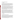#### **Section I - Funding Opportunity Description**

#### **A. Background**

Some three billion people worldwide burn traditional biomass (e.g., wood, dung, crop residues) and coal indoors for home cooking and heating. The number of people using these fuels is expected to rise substantially by 2020. According to the World Health Organization, this widespread use results in the premature deaths of an estimated 1.6 million people each year from diseases and infections caused by breathing elevated levels of indoor smoke, with women and children being most significantly affected. Indoor air pollution from household energy is the fourth leading environmental health risk in poor developing countries.

In response to this challenge, the United States Environmental Protection Agency, along with other governments and organizations, launched the Partnership for Clean Indoor Air at the World Summit for Sustainable Development in Johannesburg in September 2002. The Partnership's mission is to improve health, livelihood, and quality of life by reducing exposure to indoor air pollution from household energy use in developing countries. The Partnership is focusing on four priority areas: incorporating social and cultural practices to promote adoption of new technology; developing local sustainable markets for improved technology; improving the design and performance of indigenous technologies; and monitoring indoor air pollution, health and socio-economic impacts of the interventions.

Many governments, non-governmental organizations, and other institutions have been working on this issue for decades, with varying degrees of success. The global nature of the problem, as well as the cross-sector impacts (e.g., health, environment, energy), make it enormously complicated to solve on a broader scale. To achieve sustainable progress, we must bring together key sectors to contribute their resources, expertise and experience. This voluntary Partnership currently has more than 100 public and private sector Partners from around the world working together to increase the use of clean, reliable, affordable, efficient and safe home cooking and heating practices in Africa, Asia and Latin America. The purpose of this cooperative agreement is to increase the exchange of information and action of this diverse group of partner organizations through effective outreach, communication and education on household energy and health.

#### **B. Scope of Work**

#### **Partnership Outreach, Communication and Education**

Through this RFA, EPA is seeking a qualified organization to increase the exchange of technical and programmatic information among the Partners and others working in the global household energy and health sectors and facilitate the promotion of effective approaches to household energy and health throughout partnering countries. Activities will promote and support direct information exchange within and between regions among technology users, technology and social science researchers, entrepreneurs, project implementers, program directors and policy makers. These exchanges will help participants share their experiences, identify lessons learned, and more rapidly assimilate insights gained around the world.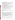Specific activities may include such things as:

- Sharing and disseminating information to Partners on relevant household energy and health issues, including publishing an electronic quarterly newsletter and periodic announcements;
- Developing, operating and maintaining a Web site to provide easy access to relevant information, activities and resources, highlighting Partnership accomplishments, and profiling Partner organizations;
- Recruiting additional non-governmental organizations, private firms, research institutions, and country governments into the Partnership or its activities;
- Seeking feedback from Partners on needs and synergies;
- Expanding the exchange of information and lessons learned, including dissemination of key technical documents through electronic means;
- Organizing and providing logistical support for Partnership activities and related events (e.g. Partnership meetings, forums, thematic workshops and technical assistance activities, etc.);
- Assisting in the development of Partnership meetings and workshops (i.e., identifying technical presenters and participants).
- Compiling key findings from meetings, workshops and activities and disseminating them through established Partnership communication channels; and
- Expanding visibility for international household energy and health issues.

# **C. EPA Strategic Plan Linkage and Anticipated Outcomes/Outputs**

## **1. Linkage to EPA Strategic Plan**

This competitive funding announcement supports EPA's Goal 1: Clean Air and Global Climate Change; Objective 1.2 Healthier Indoor Air; Sub-objective 1.1.1 – More people Breathing Cleaner Air.

# **2. Outputs**

Project outputs should aim to increase the awareness, capacity and action of Partners and other governments, non-governmental organizations, academic institutions and the private sector to reduce exposure to indoor air pollution from household energy use in developing countries. Examples of outputs include, but are not limited to the following:

- Prepare and disseminate an electronic quarterly publication to provide information on the activities of the Partnership and its Partners around the world. Regular features would include: spotlights on PCIA partners; feature articles; recent achievements and advances in household energy, indoor air pollution, and health; and upcoming events.
- Develop, operate and maintain a Web site to provide easy access to relevant information, activities and resources related to the Partnership.
- In collaboration with other Partner organizations, develop, coordinate and support the implementation of Partnership meetings, forums, and capacity building workshops.

# **3. Outcomes**

The activities accomplished under this cooperative agreement should result in increased awareness, capacity and action among Partner organizations to reduce indoor air pollution from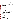household energy use in developing countries. Therefore, applicants need to indicate how they will measure the degree of awareness, capacity and action achieved through their efforts.

# **D. Supplementary Information**

The statutory authorities for this action are the Clean Air Act, Section 103(b)(3) which authorizes the award of grants for the purpose of education, training and outreach to reduce exposure to indoor air pollution, and the National Environmental Program Act 102(2)(F) which authorizes international cooperation to solve environmental problems.

## **Section II - Award Information**

# **A. What is the amount of funding available?**

The total funding for this competitive opportunity is estimated to be \$400,000 to \$500,000 to be incrementally funded over a two-year period (approximately between \$200,000 and \$250,000 per year), subject to the availability of funds.

# **B. How many agreements will EPA award in this competition?**

EPA anticipates awarding one cooperative agreement resulting from this announcement. However, EPA reserves the right to make no awards, partial awards, or multiple awards, subject to the availability of funds and the quality of proposals submitted. Applications evaluated but not selected for this funding may be retained for a period of four months after the original selection recommendations for possible award under this announcement, subject to the availability of additional funds.

Cooperative agreements permit substantial involvement between the EPA Project Officer and the selected applicants in the performance of the work supported. Although EPA will negotiate precise terms and conditions relating to substantial involvement as part of the award process, the anticipated substantial Federal involvement for this project may be:

- collaboration during performance of the scope of work;
- close monitoring of the successful applicant's performance to verify the results proposed by the applicant;
- approving substantive terms of proposed contracts;
- approving qualifications of key personnel (EPA will not select employees or contractors employed by the award recipient); and
- review and comment on reports prepared under the cooperative agreement (the final decision on the content of reports rests with the recipient).

# **C. What is the project period for awards resulting from this solicitation?**

The estimated project period for awards resulting from this solicitation is February 1, 2006 through January 31, 2008. All projects must be completed within the negotiated project performance period of 24 months.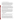#### **E. Will EPA consider partial funding for projects?**

EPA reserves the right to partially fund proposals by funding discrete activities, portions, or phases of the proposed project. If EPA decides to partially fund the proposal/application, it will do so in a manner that does not prejudice any applicants or affect the basis upon which the proposal/application, or portion thereof, was evaluated and selected for award, and that maintains the integrity of the competition and the evaluation/selection process. In order to ensure appropriate funding is provided for partially funded projects, EPA requests that applicants provide an approximation of the percentage of the budget designated for each major activity.

## **F. Can funding be used to acquire services or fund other partnerships?**

Funding may be used to acquire services or fund partnerships, provided the recipient follows procurement and subaward or subgrant procedures contained in 40 CFR Parts 30 or 31, as applicable. Successful applicants must compete contracts for services and products and conduct cost and price analyses to the extent required by these regulations. The regulations also contain limitations on consultant compensation. Applicants are not required to identify contractors or consultants in their proposal. Moreover, the fact that a successful applicant has named a specific contractor or consultant in the proposal EPA approves does not relieve it of its obligations to comply with competitive procurement requirements.

Subgrants or subawards may be used to fund partnerships with universities and non-profit organizations. Successful applicants cannot use subgrants or subawards to avoid requirements in EPA grant regulations for competitive procurement by using these instruments to acquire commercial services or products to carry out its cooperative agreement. The nature of the transaction between the recipient and the subgrantee must be consistent with the standards for distinguishing between vendor transactions and subrecipient assistance under Subpart B Section .210 of OMB Circular A-133, and the definitions of "subaward" at 40 CFR 30.2(ff) or "subgrant" at 40 CFR 31.3, as applicable. EPA will not be a party to these transactions.

## **Section III - Eligibility Information**

## **A. Eligible Entities**

Proposals will be accepted from universities, States, territories, Indian Tribes, and possessions of the U.S., including District of Columbia; international organizations; public and private universities and colleges; hospitals; laboratories; and other public or private nonprofit institutions.

Nonprofit organization, as defined by OMB Circular A-122, means any corporation, trust, association, cooperative, or other organization which: (1) is operated primarily for scientific, educational, service, charitable, or similar purposes in the public interest; (2) is not organized primarily for profit; and (3) uses its net proceeds to maintain, improve, and/or expand its operations. Note that OMB Circular A-122 specifically excludes the following types of organizations from the definition of "nonprofit organization" because they are separately defined in the Circular:(i) colleges and universities; (ii) hospitals; (iii) state, local, and federallyrecognized Indian tribal governments; and (iv) those non-profit organizations which are excluded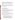from coverage of this Circular in accordance with paragraph 5 of the Circular. While not considered to be "nonprofit organization(s)" as defined by OMB-Circular A-122, colleges and universities; hospitals; state, local, and federally-recognized Indian tribal governments are, nevertheless, eligible to submit applications under OMB Circular A-122 and this RFA.

Nonprofit organizations described in Section  $501(c)(4)$  of the Internal Revenue Code that engage in lobbying activities as defined in Section 3 of the Lobbying Disclosure Act of 1995 are not eligible to apply.

Applications that do not substantially comply with the application submission instructions and requirements set forth in Section IV of this announcement will be rejected. In addition, where a page limit is expressed in Section IV with respect to parts of the application, pages in excess of the page limitation will not be reviewed.

## **B. Are matching funds required?**

No.

## **Section IV - Application and Submission Information**

## **A. How to Obtain Application Package**

The complete grants application package can be downloaded from EPA's Office of Grants and Debarment website at: (http://www.epa.gov/ogd/grants/how to apply.htm). Potential applicants may request a paper copy of the application package by contacting one of the agency contacts listed in Section VII of this announcement. Applicants may apply by hard copy submission,, email, or electronically at http://www.grants.gov as described below.

## **B. Content and Form of Application Submission**

Applications must contain one completed and signed Application for Federal Assistance (SF-424) and a Narrative Work Plan of no more than 8 pages in length.

The Narrative Work Plan must explicitly describe how the proposed project meets the guidelines established in Section I (B), Scope of Work and, specifically, address each of the evaluation criteria disclosed in Section V (A), Evaluation Criteria. The narrative workplan, a maximum of 8 pages in length, should conform to the following outline:

- 1. Project Title.
- 2. Applicant Information. Include applicant (organization) name, address, contact person, phone number, fax, e-mail address and website.
- 3. Funding Requested. Specify the amount you are requesting from EPA.
- 4. Total Project Cost. Specify total cost of the project (EPA funding and cost-share). Identify funding from other sources including any in-kind resources.
- 5. Project period. Provide beginning and ending dates (for planning purposes, applicants should assume funds will be available in January 2006).
- 6. Project Goals, Outcomes and Outputs. Describe project goals as they relate to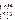EPA's Strategic Plan and anticipated outcomes and outputs, including an estimated time line with milestones for each task. Describe how the proposed outputs will produce the expected outcomes.

- 7. Describe the activities, methods and materials that will be developed and utilized to achieve the goals of the project.
- 8. Plan for tracking and measuring progress toward achieving the expected environmental outputs/outcomes identified in Section I of this announcement. Provide a detailed explanation and projected timeline of how and when project success shall be evaluated.
- 9. Describe the applicant's programmatic capability, including:
	- a. past performance in successfully completing federally and/or non-federally funded projects similar in size, scope, and relevance to the proposed project;
	- b. history of meeting reporting requirements on prior or current assistance agreements with federal and/or non-federal organizations and submitting acceptable final technical reports;
	- c. organizational experience and plan for timely and successfully achieving the objectives of the project,
	- d. staff expertise/qualifications, staff knowledge, and resources or the ability to obtain them, to successfully achieve the goals of the project;
- 10. Detailed Itemized Budget. Provide a budget for the following categories, specifying unit costs: personnel, fringe benefits, contractual costs, travel, equipment, supplies, other, total direct costs, total indirect costs (must include documentation of accepted indirect rate), and total cost.

Applicants are strongly advised to avoid submission of extemporaneous materials. The maximum page length shall include any pieces that may be submitted by a third party (e.g., references or letters confirming commitments). All application materials must be completed in English to be considered for award under this solicitation.

In evaluating Applicants under the programmatic capability factor in Section V of the announcement, EPA will consider information provided by the applicant and may consider information from other sources including Agency files.

## **C. Submission Dates and Times**

- 1. To allow for efficient management of the competitive process, EPA requests eligible entities submit an informal notice of "Intent to Apply" by November 4, 2005, to the agency contact identified under Section VII, Agency Contact. Submission of Intent to apply is optional; it is a process management tool that will allow EPA to better anticipate the total staff time required for efficient review, evaluation, and selection of submitted proposals. Eligible entities not submitting "Intent to Apply" are still eligible to apply by the deadline. The written notice of "Intent to Apply" may be submitted via electronic mail. Please provide the name of your organization, a point of contact, phone number, email address, and the title of your project.
- 2. The deadline for submission of completed application packages is December 2, 2005, 4:00 p.m. EDT. All application packages must be received in the program office listed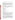below or by grants.gov by the deadline. Applications received after the deadline will not be considered for funding.

- 3. Due to the unique situation involving U.S. mail screening, EPA highly recommends that applicants submit their applications via e-mail. If submitting via e-mail, the narrative work plan and SF 424 must be submitted in Microsoft Word or PDF format to: **doroski.brenda@epa.gov**. EPA requests that applicants submit one e-mail with the narrative work plan and SF 424 as attachments. Proposals will be considered timely upon receipt, not transmission. An e-mail response confirming receipt of e-mailed submission will be provided.
- 4. If an applicant chooses to submit a hard copy of the application, EPA highly recommends that applicants use an express mail option (e.g., FedEx, UPS, DHL, etc.). In this case, please provide original narrative proposal - no binders or spiral binding - and one signed and completed Application for Federal Assistance (SF-424) addressed to:

 Express Delivery Address (FedEx, UPS, DHL, etc.): U.S.EPA Attn: Brenda Doroski 1310 L Street, NW, Room 427N Washington, DC 20005 Phone: 202-343-9764

Regular Mail Delivery Address (U.S. Postal Service): U.S.EPA Attn: Brenda Doroski 1200 Pennsylvania Ave., NW (6609J) Washington, DC 20460 Phone: 202-343-9764

5. **Grants.gov Application Instructions**. If you choose to submit your application electronically via Grants.gov, the electronic submission of your application must be made by an official representative of your institution who is registered with Grants.gov. For more information, go to http://www.grants.gov and click on "Get Started," and then "Authorized Organization Representative (AOR)." *Note that the registration process may take a week or longer to complete.* If your organization is not currently registered with Grants.gov, please encourage your office to designate an AOR and ask that individual to begin the registration process as soon as possible.

To begin the application process for this grant program, go to http://www.grants.gov and click on "Apply for Grants." Then click on "Apply Step 1: Download a Grant Application Package and Application Instructions" to download the PureEdge viewer and obtain the application package (https://apply.grants.gov/forms\_apps\_idx.html). You may retrieve the application package by entering the Funding Opportunity Number, EPA-OAR-IED-05-20, in the space provided. You may also be able to access the application package by clicking on the button at the bottom right side of the Find synopsis that says Apply for Grant Electronically.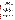If applying thru grants.gov, please submit *all* of the application materials described below.

- **1. Standard Form (SF) 424, Application for Federal Assistance**  Complete the form. There are no attachments. Please note that the organizational Dun and Bradstreet (D&B) Data Universal Number System (DUNS) number must be included on the SF-424. Organizations may obtain a DUNS number at no cost by calling the toll-free DUNS number request line at 1-866-705-5711.
- **2. Narrative Work Plan (attached as Project Narrative Attachment Form on grants.gov)** developed following the instructions in Section IV.B above..

#### **Application Preparation and Submission Instructions**

**Document 1** listed above should appear in the "Mandatory Documents" box on the Grants.gov Grant Application Package page.

For document 1, click on the appropriate form and then click "Open Form" below the box. The fields that must be completed will be highlighted in yellow. Optional fields and completed fields will be displayed in white. If you enter an invalid response or incomplete information in a field, you will receive an error message. When you have finished filling out each form, click "Save." When you return to the electronic Grant Application Package page, click on the form you just completed, and then click on the box that says, "Move Form to Submission List." This action will move the document over to the box that says, "Mandatory Completed Documents for Submission."

For document 2, you will need to attach electronic files. Prepare your Narrative Work Plan using the format outlined above (in Section IV.B above ) and save the document to your computer as an MS Word or WordPerfect file. (U.S. EPA prefers to receive documents in MS Word, by documents prepared in WordPerfect will also be accepted.) When you are ready to attach your Work Plan to the application package, click on "Project Narrative Attachment Form," and open the form. Click "Add Mandatory Project Narrative File," and then attach your Work Plan (previously saved to your computer) using the browse window that appears. You may then click "View Mandatory Project Narrative File" to view it. Enter a brief descriptive title of your project in the space beside "Mandatory Project Narrative File Filename;" the filename should be no more than 40 characters long. If there other attachments that you would like to submit to accompany your Work Plan, you may click "Add Optional Project Narrative File" and proceed as before. When you have finished attaching the necessary documents, click "Close Form." When you return to the "Grant Application Package" page, select the "Project Narrative Attachment Form" and click "Move Form to Submission List." The form should now appear in the box that says, "Mandatory Completed Documents for Submission."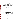Once you have finished filling out all of the forms/attachments and they appear in one of the "Completed Documents for Submission" boxes, click the "Save" button that appears at the top of the Web page. It is suggested that you save the document a second time, using a different name, since this will make it easier to submit an amended package later if necessary. Please use the following format when saving your file: "Applicant Name –  $FY06 - Assoc Prog Supp - 1<sup>st</sup> Submission" or "Application Name - FY 06 Assoc Prog$ Supp – Back-up Submission." If it becomes necessary to submit an amended package at a later date, then the name of the  $2<sup>nd</sup>$  submission should be changed to "Applicant Name – FY06 Assoc Prog Supp  $-2<sup>nd</sup>$  Submission."

Once your application package has been completed and saved, send it to your AOR for submission to U.S. EPA through Grants.gov. Please advise your AOR to close all other software programs before attempting to submit the application package through Grants.gov.

In the "Application Filing Name" box, your AOR should enter your organization's name (abbreviate where possible), the fiscal year  $(e.g., FY06)$ , and the grant category  $(e.g.,$ Assoc Prog Supp). The filing name should not exceed 40 characters. From the "Grant Application Package" page, your AOR may submit the application package by clicking the "Submit" button that appears at the top of the page. The AOR will then be asked to verify the agency and funding opportunity number for which the application package is being submitted. If problems are encountered during the submission process, the AOR should reboot his/her computer before trying to submit the application package again. [It may be necessary to turn off the computer (not just restart it) before attempting to submit the package again.] If the AOR continues to experience submission problems, he/she may contact Grants.gov for assistance by phone at 1-800-518-4726 or email at support@grants.gov or Doroski.brenda@epa.gov.

6. **Confidential Business Information.** In accordance with 40 CFR 2.203, applicants may claim all or a portion of their application/proposal as confidential business information. EPA will evaluate confidential claims in accordance with 40 CFR Part 2. Applicants must clearly mark applications/proposals or portions of applications/proposals they claim as confidential. If no claim of confidentiality is made, EPA is not required to make the inquiry to the applicant otherwise required by 40 CFR 2.204 (c) (2) prior to disclosure.

## **Section V - Application Review Information**

Each eligible application will be evaluated according to the criteria set forth below. Applications which are best able to directly and explicitly address these criteria will have a greater likelihood of being selected for award. Each application will be rated under a points system, with a total of 100 points possible.

## **A. Evaluation Criteria**

Project Goals Linked to EPA Strategic Plan: Extent to which the goals of the proposed project align with EPA's Strategic Plan identified in Section I C of this RFA and will increase Partner's awareness, capacity and action to reduce people's exposure to indoor air pollution from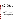household energy use in developing countries. (20 points)

Anticipated Outcomes/Outputs: Effectiveness of applicant's plan for tracking and measuring its progress toward achieving expected outputs and outcomes identified in Section 1 of this announcement. (20 points)

Project Activities, Methods and Materials: Extent to which the work plan sufficiently describes activities, methods, and materials that are likely to achieve the project's goals, outcomes and outputs. (20 points)

Programmatic Capability: The Applicant's technical capability to successfully perform the proposed project based on the applicant's: (i) past performance in successfully completing federally and/or non-federally funded projects similar in size, scope, and relevance to the proposed project, (ii) history of meeting reporting requirements on prior or current assistance agreements with federal and/or non-federal organizations and submitting acceptable final technical reports, (iii) organizational experience and plan for timely and successfully achieving the objectives of the project, and (iv) staff expertise/qualifications, staff knowledge, and resources or the ability to obtain them, to successfully achieve the goals of the project. Applicants who have no relevant past performance or reporting history (items i and ii above) will receive a neutral score for those elements of programmatic capability. (30 points)

Budget and Timeline: Extent to which the project budget and time line are appropriate to accomplish the proposed goals, outputs and outcomes outlined in work plan. (10 points)

## **B. Review and Selection Process**

Each proposal will be reviewed by an evaluation team with knowledge and expertise in coordinating international household energy and health outreach, communication and education efforts. The evaluation team will base its evaluation of proposals solely on the evaluation criterion disclosed in this announcement. The evaluation team will forward its recommendation to the Decision Official who will submit a final recommendation to the Grant Award Official.

## **Section VI - Award Administration Information**

## **A. Award Notices**

Following final selections, all applicants will be notified regarding their application's status.

- 1. EPA anticipates notification to the successful applicant will be made via telephone, electronic or postal mail on or around January 6, 2006. This notification, which advises that the applicant's proposal has been selected and is being recommended for award, is not an authorization to begin performance. The award notice signed by the EPA grants officer is the authorizing document and will be provided through postal mail. At a minimum, this process can take up to 60 days from the date of selection.
- 2. EPA anticipates notification to unsuccessful applicant(s) will be made via electronic or postal mail within 15 days after completion of review process. In either event, the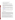notification will be sent to the original signer of the application.

# **B. Administrative and National Policy Requirements**

- 1. A listing and description of general EPA Regulations applicable to the award of assistance agreements may be viewed at: http://www.epa.gov/ogd/AppKit/applicable\_epa\_regulations\_and\_description.htm
- 2. Executive Order 12372, Intergovernmental Review of Federal Programs may be applicable to awards, resulting from this announcement. Applicants selected for funding may be required to provide a copy of their proposal to their State Point of Contact (SPOC) for review, pursuant to Executive Order 12372, Intergovernmental Review of Federal Programs. This review is not required with the Initial Proposal and not all states require such a review.
- 3. All applicants are required to provide a Dun and Bradstreet (D&B) Data Universal Numbering System (DUNS) number when applying for a Federal grant or cooperative agreement. Applicants can receive a DUNS number, at no cost, by calling the dedicated toll-free DUNS Number request line at 1-866-705-5711, or visiting the D&B website at: http://www.dnb.com.
- 4. Grants and agreements with institutions of higher education are subject to 40 CFR Parts 30 and 40 and OMB circular A-122 for non-profits and A-21 for institutions of higher learning.
- 5. Programmatic Terms and conditions will be negotiated with the selected recipient.

# **C. Reporting Requirements**

Quarterly progress reports and a detailed final report will be required. Quarterly reports summarizing technical progress, planned activities for next quarter and summary of expenditures are required. The Final report shall be completed within 90 calendar days of the completion of the period of performance. The final report should include a summary of the project, including advances achieved, outputs, outcomes and costs of the project. In addition, the final report shall discuss the problems, successes, and lessons learned from the project that could help overcome structural, organizational or technical obstacles to implementing a similar project. The schedule for submission of quarterly reports will be established by EPA, after award.

While the Agency will negotiate precise terms and conditions relating to substantial involvement as part of the award process, EPA expects to closely monitor the successful applicant's performance, collaborate during the performance of the scope of work, approve the substantive terms of proposed contracts, approve the qualifications of key personnel, review and comment on reports prepared under the cooperative agreement, and evaluate the engineering improvements on an EPA demonstration project. EPA will not select employees or contractors employed by the recipient and the final decision on the content of reports rests with the recipient.